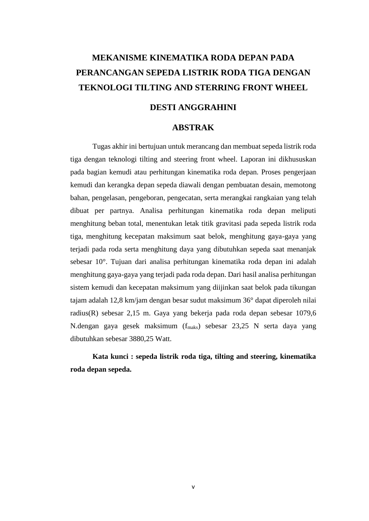## **MEKANISME KINEMATIKA RODA DEPAN PADA PERANCANGAN SEPEDA LISTRIK RODA TIGA DENGAN TEKNOLOGI TILTING AND STERRING FRONT WHEEL**

### **DESTI ANGGRAHINI**

#### **ABSTRAK**

Tugas akhir ini bertujuan untuk merancang dan membuat sepeda listrik roda tiga dengan teknologi tilting and steering front wheel. Laporan ini dikhususkan pada bagian kemudi atau perhitungan kinematika roda depan. Proses pengerjaan kemudi dan kerangka depan sepeda diawali dengan pembuatan desain, memotong bahan, pengelasan, pengeboran, pengecatan, serta merangkai rangkaian yang telah dibuat per partnya. Analisa perhitungan kinematika roda depan meliputi menghitung beban total, menentukan letak titik gravitasi pada sepeda listrik roda tiga, menghitung kecepatan maksimum saat belok, menghitung gaya-gaya yang terjadi pada roda serta menghitung daya yang dibutuhkan sepeda saat menanjak sebesar 10°. Tujuan dari analisa perhitungan kinematika roda depan ini adalah menghitung gaya-gaya yang terjadi pada roda depan. Dari hasil analisa perhitungan sistem kemudi dan kecepatan maksimum yang diijinkan saat belok pada tikungan tajam adalah 12,8 km/jam dengan besar sudut maksimum 36° dapat diperoleh nilai radius(R) sebesar 2,15 m. Gaya yang bekerja pada roda depan sebesar 1079,6 N.dengan gaya gesek maksimum (f<sub>maks</sub>) sebesar 23,25 N serta daya yang dibutuhkan sebesar 3880,25 Watt.

**Kata kunci : sepeda listrik roda tiga, tilting and steering, kinematika roda depan sepeda.**